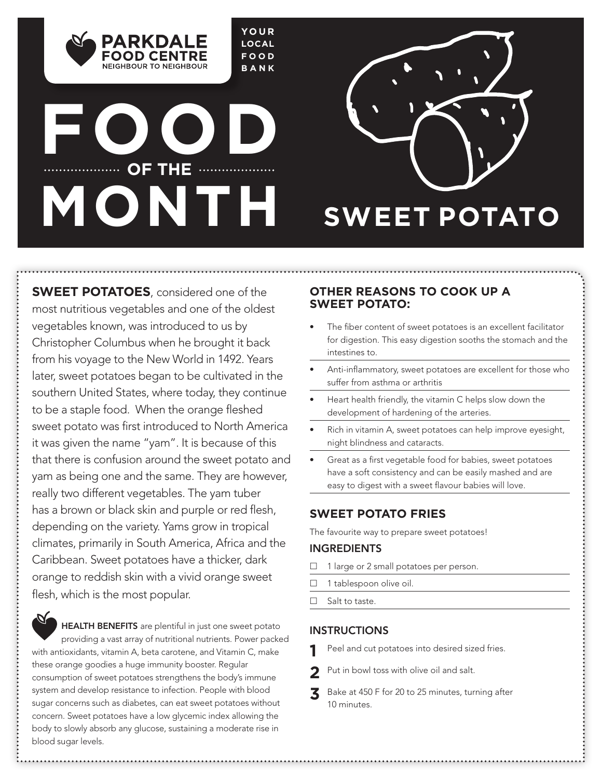**YOUR LOCAL FOOD BANK**

# **FOOD** ............... OF THE .................... **MONTH SWEET POTATO**

PARKDAI FOOD CENTRE NEIGHBOUR TO NEIGHBOUR



**SWEET POTATOES**, considered one of the most nutritious vegetables and one of the oldest vegetables known, was introduced to us by Christopher Columbus when he brought it back from his voyage to the New World in 1492. Years later, sweet potatoes began to be cultivated in the southern United States, where today, they continue to be a staple food. When the orange fleshed sweet potato was first introduced to North America it was given the name "yam". It is because of this that there is confusion around the sweet potato and yam as being one and the same. They are however, really two different vegetables. The yam tuber has a brown or black skin and purple or red flesh, depending on the variety. Yams grow in tropical climates, primarily in South America, Africa and the Caribbean. Sweet potatoes have a thicker, dark orange to reddish skin with a vivid orange sweet flesh, which is the most popular.

## HEALTH BENEFITS are plentiful in just one sweet potato providing a vast array of nutritional nutrients. Power packed with antioxidants, vitamin A, beta carotene, and Vitamin C, make

these orange goodies a huge immunity booster. Regular consumption of sweet potatoes strengthens the body's immune system and develop resistance to infection. People with blood sugar concerns such as diabetes, can eat sweet potatoes without concern. Sweet potatoes have a low glycemic index allowing the body to slowly absorb any glucose, sustaining a moderate rise in blood sugar levels.

### **OTHER REASONS TO COOK UP A SWEET POTATO:**

- The fiber content of sweet potatoes is an excellent facilitator for digestion. This easy digestion sooths the stomach and the intestines to.
- Anti-inflammatory, sweet potatoes are excellent for those who suffer from asthma or arthritis
- Heart health friendly, the vitamin C helps slow down the development of hardening of the arteries.
- Rich in vitamin A, sweet potatoes can help improve eyesight, night blindness and cataracts.
- Great as a first vegetable food for babies, sweet potatoes have a soft consistency and can be easily mashed and are easy to digest with a sweet flavour babies will love.

## **SWEET POTATO FRIES**

The favourite way to prepare sweet potatoes!

## INGREDIENTS

- 1 large or 2 small potatoes per person.
- $\Box$  1 tablespoon olive oil.
- $\Box$  Salt to taste.

## INSTRUCTIONS

- **1** Peel and cut potatoes into desired sized fries.
- Put in bowl toss with olive oil and salt.
- **3** Bake at 450 F for 20 to 25 minutes, turning after 10 minutes.